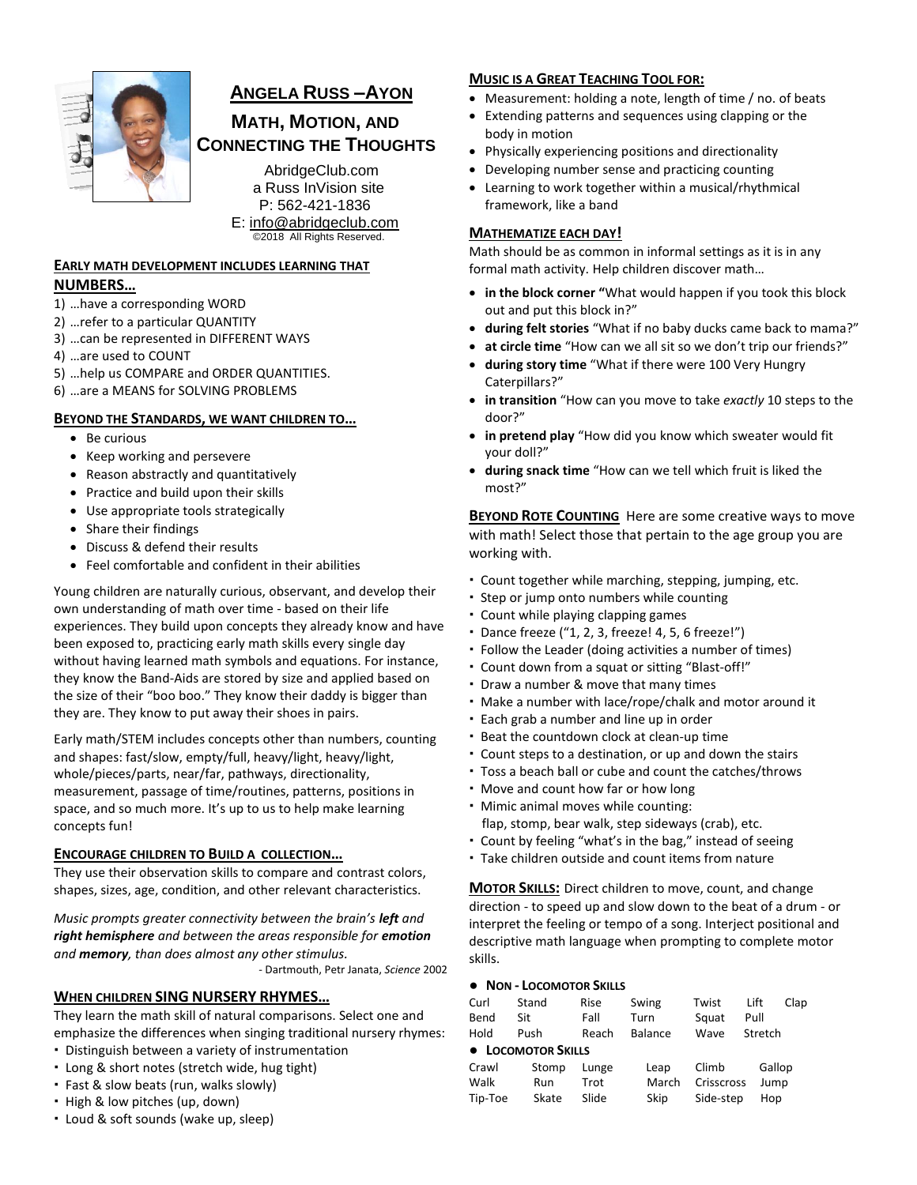

# **ANGELA RUSS –AYON**

# **MATH, MOTION, AND CONNECTING THE THOUGHTS**

AbridgeClub.com a Russ InVision site P: 562-421-1836 E: [info@abridgeclub.com](mailto:info@abridgeclub.com) ©2018 All Rights Reserved.

## **EARLY MATH DEVELOPMENT INCLUDES LEARNING THAT NUMBERS…**

- 1) …have a corresponding WORD
- 2) …refer to a particular QUANTITY
- 3) …can be represented in DIFFERENT WAYS
- 4) …are used to COUNT
- 5) …help us COMPARE and ORDER QUANTITIES.
- 6) …are a MEANS for SOLVING PROBLEMS

## **BEYOND THE STANDARDS, WE WANT CHILDREN TO…**

- Be curious
- Keep working and persevere
- Reason abstractly and quantitatively
- Practice and build upon their skills
- Use appropriate tools strategically
- Share their findings
- Discuss & defend their results
- Feel comfortable and confident in their abilities

Young children are naturally curious, observant, and develop their own understanding of math over time - based on their life experiences. They build upon concepts they already know and have been exposed to, practicing early math skills every single day without having learned math symbols and equations. For instance, they know the Band-Aids are stored by size and applied based on the size of their "boo boo." They know their daddy is bigger than they are. They know to put away their shoes in pairs.

Early math/STEM includes concepts other than numbers, counting and shapes: fast/slow, empty/full, heavy/light, heavy/light, whole/pieces/parts, near/far, pathways, directionality, measurement, passage of time/routines, patterns, positions in space, and so much more. It's up to us to help make learning concepts fun!

## **ENCOURAGE CHILDREN TO BUILD A COLLECTION…**

They use their observation skills to compare and contrast colors, shapes, sizes, age, condition, and other relevant characteristics.

*Music prompts greater connectivity between the brain's left and right hemisphere and between the areas responsible for emotion and memory, than does almost any other stimulus.* 

- Dartmouth, Petr Janata, *Science* 2002

## **WHEN CHILDREN SING NURSERY RHYMES…**

They learn the math skill of natural comparisons. Select one and emphasize the differences when singing traditional nursery rhymes:

- Distinguish between a variety of instrumentation
- Long & short notes (stretch wide, hug tight)
- Fast & slow beats (run, walks slowly)
- High & low pitches (up, down)
- Loud & soft sounds (wake up, sleep)

## **MUSIC IS A GREAT TEACHING TOOL FOR:**

- Measurement: holding a note, length of time / no. of beats
- Extending patterns and sequences using clapping or the body in motion
- Physically experiencing positions and directionality
- Developing number sense and practicing counting
- Learning to work together within a musical/rhythmical framework, like a band

## **MATHEMATIZE EACH DAY!**

Math should be as common in informal settings as it is in any formal math activity. Help children discover math…

- **in the block corner "**What would happen if you took this block out and put this block in?"
- **during felt stories** "What if no baby ducks came back to mama?"
- **at circle time** "How can we all sit so we don't trip our friends?"
- **during story time** "What if there were 100 Very Hungry Caterpillars?"
- **in transition** "How can you move to take *exactly* 10 steps to the door?"
- **in pretend play** "How did you know which sweater would fit your doll?"
- **during snack time** "How can we tell which fruit is liked the most?"

**BEYOND ROTE COUNTING** Here are some creative ways to move with math! Select those that pertain to the age group you are working with.

- Count together while marching, stepping, jumping, etc.
- Step or jump onto numbers while counting
- Count while playing clapping games
- Dance freeze ("1, 2, 3, freeze! 4, 5, 6 freeze!")
- Follow the Leader (doing activities a number of times)
- Count down from a squat or sitting "Blast-off!"
- Draw a number & move that many times
- Make a number with lace/rope/chalk and motor around it
- Each grab a number and line up in order
- Beat the countdown clock at clean-up time
- Count steps to a destination, or up and down the stairs
- Toss a beach ball or cube and count the catches/throws
- Move and count how far or how long
- Mimic animal moves while counting:
	- flap, stomp, bear walk, step sideways (crab), etc.
- Count by feeling "what's in the bag," instead of seeing
- Take children outside and count items from nature

**MOTOR SKILLS:** Direct children to move, count, and change direction - to speed up and slow down to the beat of a drum - or interpret the feeling or tempo of a song. Interject positional and descriptive math language when prompting to complete motor skills.

#### **● NON - LOCOMOTOR SKILLS**

| Curl               | Stand | Rise  | Swing   | Twist      | Lift    | Clap |  |
|--------------------|-------|-------|---------|------------|---------|------|--|
| Bend               | Sit   | Fall  | Turn    | Squat      | Pull    |      |  |
| Hold               | Push  | Reach | Balance | Wave       | Stretch |      |  |
| • LOCOMOTOR SKILLS |       |       |         |            |         |      |  |
| Crawl              | Stomp | Lunge | Leap    | Climb      | Gallop  |      |  |
| Walk               | Run   | Trot  | March   | Crisscross | Jump    |      |  |
| Tip-Toe            | Skate | Slide | Skip    | Side-step  | Hop     |      |  |